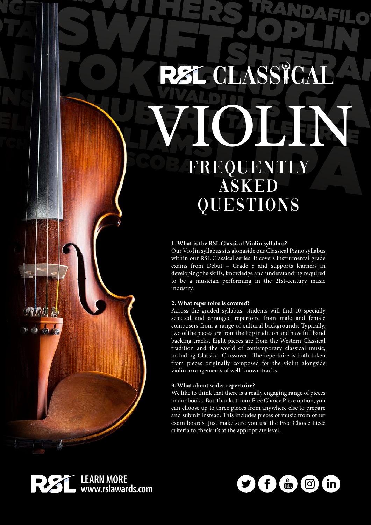# **RSL CLASSICA OIGENS** FREQUENTLY ASKED QUESTIONS

#### **1. What is the RSL Classical Violin syllabus?**

Our Vio lin syllabus sits alongside our Classical Piano syllabus within our RSL Classical series. It covers instrumental grade exams from Debut – Grade 8 and supports learners in developing the skills, knowledge and understanding required to be a musician performing in the 21st-century music industry.

#### **2. What repertoire is covered?**

Across the graded syllabus, students will find 10 specially selected and arranged repertoire from male and female composers from a range of cultural backgrounds. Typically, two of the pieces are from the Pop tradition and have full band backing tracks. Eight pieces are from the Western Classical tradition and the world of contemporary classical music, including Classical Crossover. The repertoire is both taken from pieces originally composed for the violin alongside violin arrangements of well-known tracks.

#### **3. What about wider repertoire?**

We like to think that there is a really engaging range of pieces in our books. But, thanks to our Free Choice Piece option, you can choose up to three pieces from anywhere else to prepare and submit instead. This includes pieces of music from other exam boards. Just make sure you use the Free Choice Piece criteria to check it's at the appropriate level.



 $\mathcal{A}$